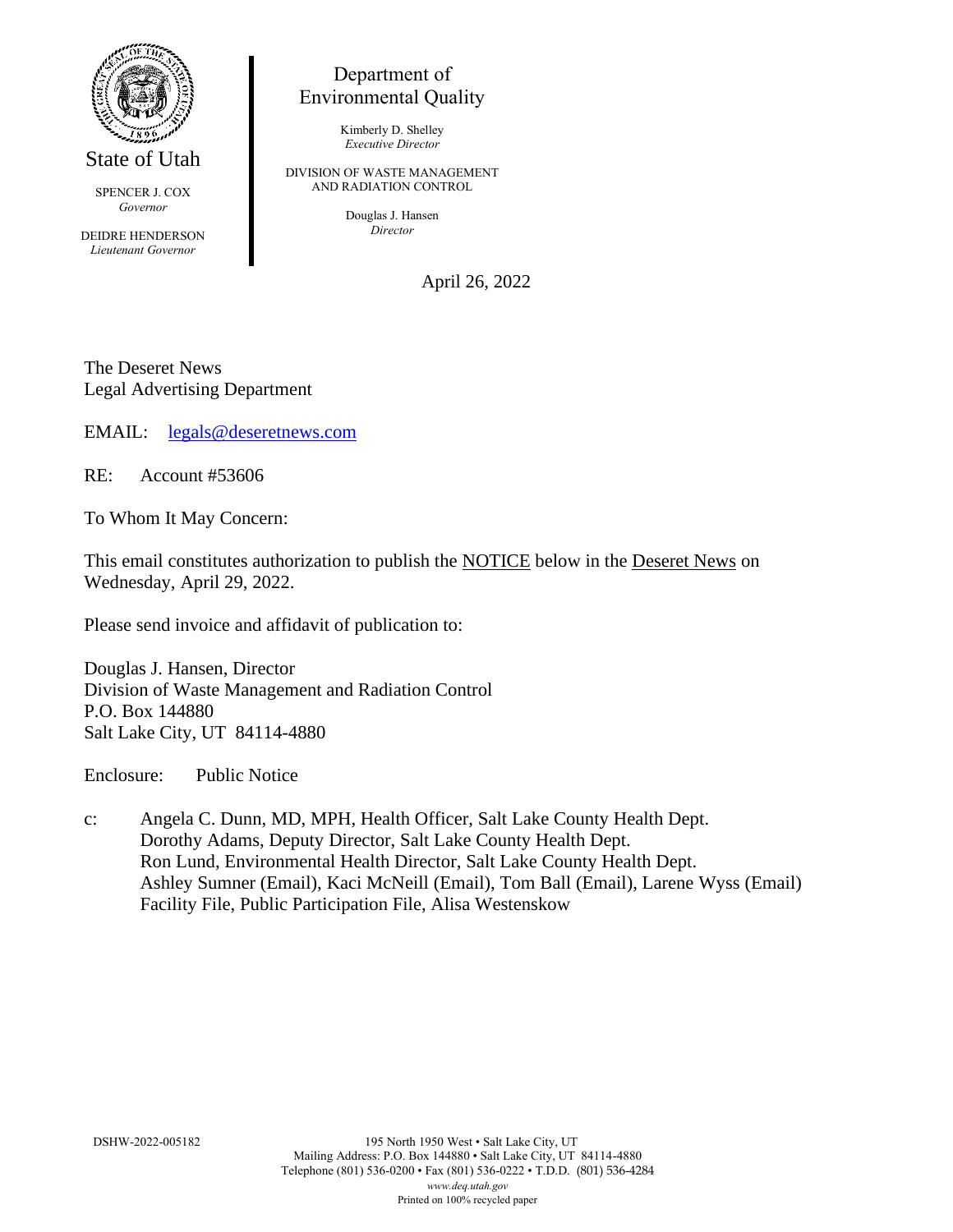

State of Utah

SPENCER J. COX *Governor*

DEIDRE HENDERSON *Lieutenant Governor*

## Department of Environmental Quality

Kimberly D. Shelley *Executive Director*

DIVISION OF WASTE MANAGEMENT AND RADIATION CONTROL

> Douglas J. Hansen *Director*

> > April 26, 2022

The Deseret News Legal Advertising Department

EMAIL: [legals@deseretnews.com](mailto:legals@deseretnews.com)

RE: Account #53606

To Whom It May Concern:

This email constitutes authorization to publish the NOTICE below in the Deseret News on Wednesday, April 29, 2022.

Please send invoice and affidavit of publication to:

Douglas J. Hansen, Director Division of Waste Management and Radiation Control P.O. Box 144880 Salt Lake City, UT 84114-4880

Enclosure: Public Notice

c: Angela C. Dunn, MD, MPH, Health Officer, Salt Lake County Health Dept. Dorothy Adams, Deputy Director, Salt Lake County Health Dept. Ron Lund, Environmental Health Director, Salt Lake County Health Dept. Ashley Sumner (Email), Kaci McNeill (Email), Tom Ball (Email), Larene Wyss (Email) Facility File, Public Participation File, Alisa Westenskow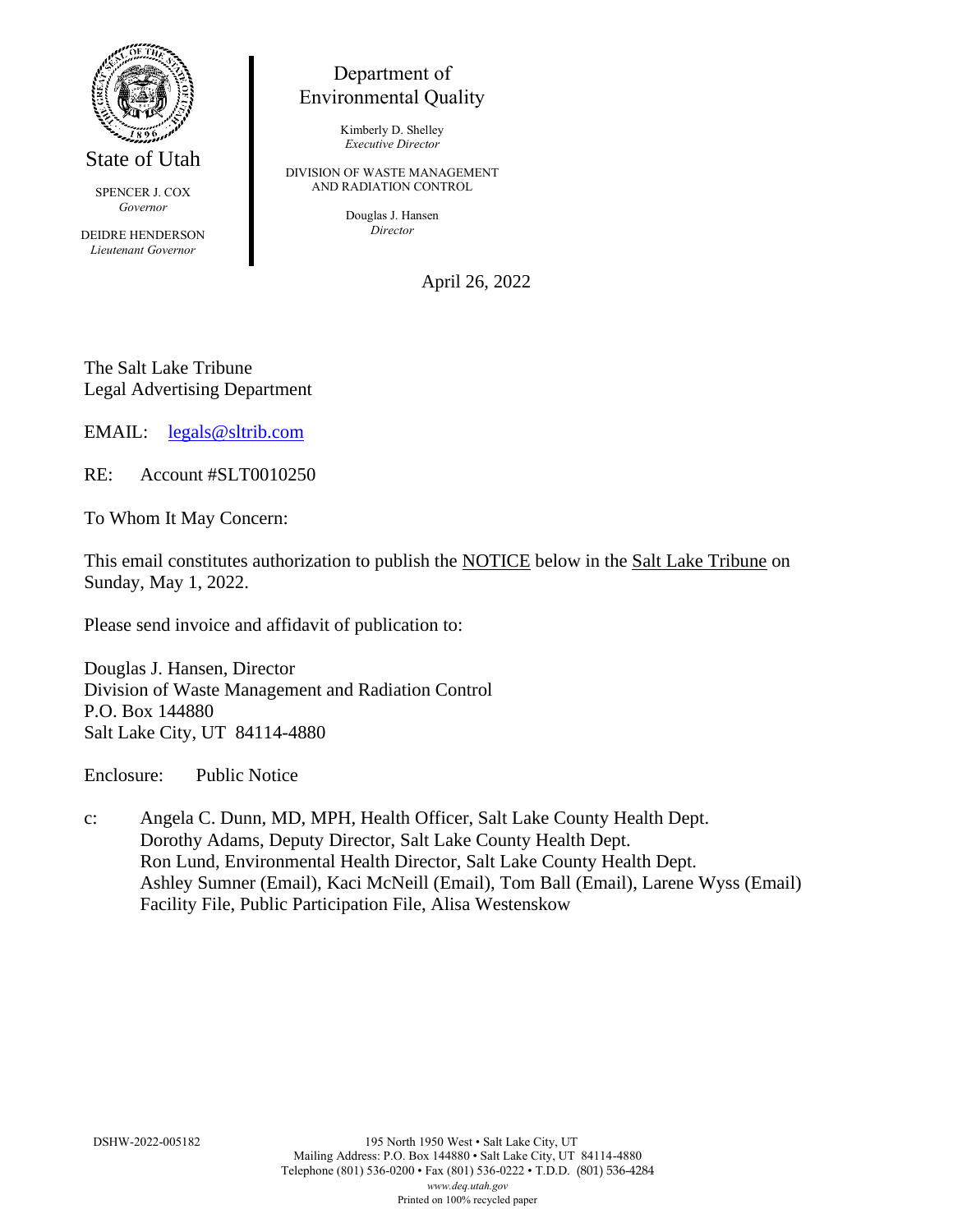

State of Utah

SPENCER J. COX *Governor*

DEIDRE HENDERSON *Lieutenant Governor*

## Department of Environmental Quality

Kimberly D. Shelley *Executive Director*

DIVISION OF WASTE MANAGEMENT AND RADIATION CONTROL

> Douglas J. Hansen *Director*

> > April 26, 2022

The Salt Lake Tribune Legal Advertising Department

EMAIL: [legals@sltrib.com](mailto:legals@sltrib.com)

RE: Account #SLT0010250

To Whom It May Concern:

This email constitutes authorization to publish the NOTICE below in the Salt Lake Tribune on Sunday, May 1, 2022.

Please send invoice and affidavit of publication to:

Douglas J. Hansen, Director Division of Waste Management and Radiation Control P.O. Box 144880 Salt Lake City, UT 84114-4880

Enclosure: Public Notice

c: Angela C. Dunn, MD, MPH, Health Officer, Salt Lake County Health Dept. Dorothy Adams, Deputy Director, Salt Lake County Health Dept. Ron Lund, Environmental Health Director, Salt Lake County Health Dept. Ashley Sumner (Email), Kaci McNeill (Email), Tom Ball (Email), Larene Wyss (Email) Facility File, Public Participation File, Alisa Westenskow